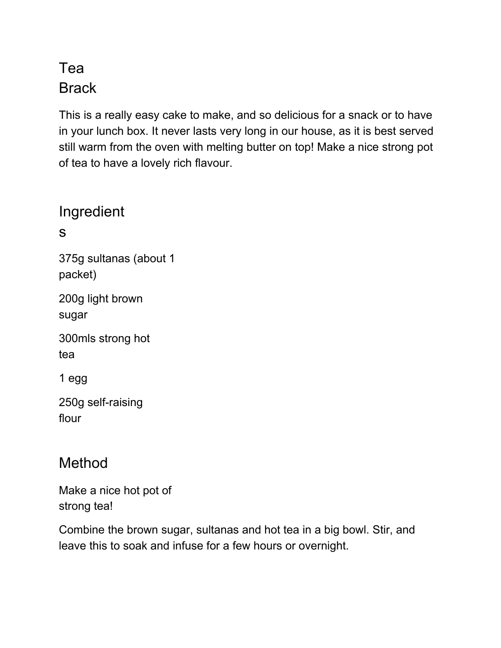## Tea **Brack**

This is a really easy cake to make, and so delicious for a snack or to have in your lunch box. It never lasts very long in our house, as it is best served still warm from the oven with melting butter on top! Make a nice strong pot of tea to have a lovely rich flavour.

## Ingredient

s

375g sultanas (about 1 packet)

200g light brown sugar

300mls strong hot tea

1 egg

250g self-raising flour

## Method

Make a nice hot pot of strong tea!

Combine the brown sugar, sultanas and hot tea in a big bowl. Stir, and leave this to soak and infuse for a few hours or overnight.